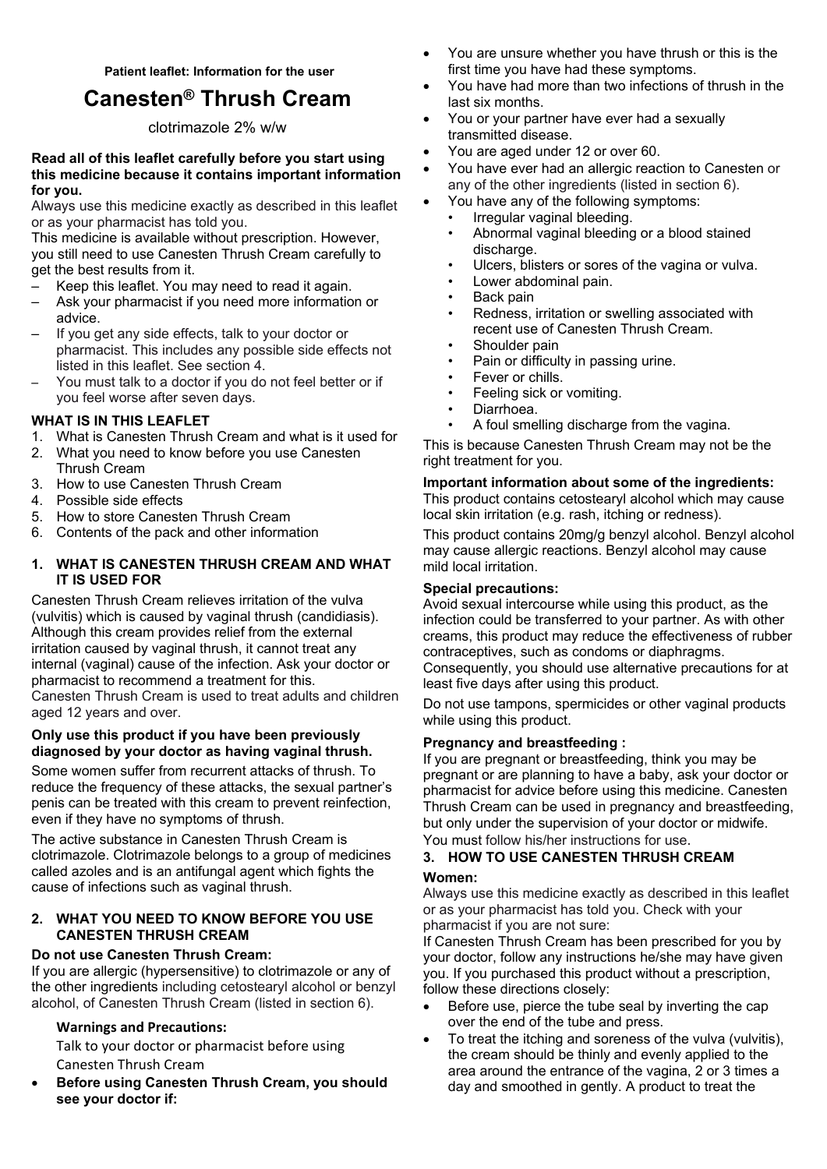# **Canesten® Thrush Cream**

clotrimazole 2% w/w

## **Read all of this leaflet carefully before you start using this medicine because it contains important information for you.**

Always use this medicine exactly as described in this leaflet or as your pharmacist has told you.

This medicine is available without prescription. However, you still need to use Canesten Thrush Cream carefully to get the best results from it.

- Keep this leaflet. You may need to read it again.
- Ask your pharmacist if you need more information or advice.
- If you get any side effects, talk to your doctor or pharmacist. This includes any possible side effects not listed in this leaflet. See section 4.
- You must talk to a doctor if you do not feel better or if you feel worse after seven days.

## **WHAT IS IN THIS LEAFLET**

- 1. What is Canesten Thrush Cream and what is it used for
- 2. What you need to know before you use Canesten Thrush Cream
- 3. How to use Canesten Thrush Cream
- 4. Possible side effects
- 5. How to store Canesten Thrush Cream
- 6. Contents of the pack and other information

## **1. WHAT IS CANESTEN THRUSH CREAM AND WHAT IT IS USED FOR**

Canesten Thrush Cream relieves irritation of the vulva (vulvitis) which is caused by vaginal thrush (candidiasis). Although this cream provides relief from the external irritation caused by vaginal thrush, it cannot treat any internal (vaginal) cause of the infection. Ask your doctor or pharmacist to recommend a treatment for this. Canesten Thrush Cream is used to treat adults and children aged 12 years and over.

## **Only use this product if you have been previously diagnosed by your doctor as having vaginal thrush.**

Some women suffer from recurrent attacks of thrush. To reduce the frequency of these attacks, the sexual partner's penis can be treated with this cream to prevent reinfection, even if they have no symptoms of thrush.

The active substance in Canesten Thrush Cream is clotrimazole. Clotrimazole belongs to a group of medicines called azoles and is an antifungal agent which fights the cause of infections such as vaginal thrush.

## **2. WHAT YOU NEED TO KNOW BEFORE YOU USE CANESTEN THRUSH CREAM**

## **Do not use Canesten Thrush Cream:**

If you are allergic (hypersensitive) to clotrimazole or any of the other ingredients including cetostearyl alcohol or benzyl alcohol, of Canesten Thrush Cream (listed in section 6).

## **Warnings and Precautions:**

Talk to your doctor or pharmacist before using Canesten Thrush Cream

 **Before using Canesten Thrush Cream, you should see your doctor if:** 

- You are unsure whether you have thrush or this is the first time you have had these symptoms.
- You have had more than two infections of thrush in the last six months.
- You or your partner have ever had a sexually transmitted disease.
- You are aged under 12 or over 60.
- You have ever had an allergic reaction to Canesten or any of the other ingredients (listed in section 6).
- You have any of the following symptoms:
	- Irregular vaginal bleeding.
	- Abnormal vaginal bleeding or a blood stained discharge.
	- Ulcers, blisters or sores of the vagina or vulva.
	- Lower abdominal pain.
	- Back pain
	- Redness, irritation or swelling associated with recent use of Canesten Thrush Cream.
	- Shoulder pain
	- Pain or difficulty in passing urine.
	- Fever or chills.
	- Feeling sick or vomiting.
	- Diarrhoea.
	- A foul smelling discharge from the vagina.

This is because Canesten Thrush Cream may not be the right treatment for you.

## **Important information about some of the ingredients:**

This product contains cetostearyl alcohol which may cause local skin irritation (e.g. rash, itching or redness).

This product contains 20mg/g benzyl alcohol. Benzyl alcohol may cause allergic reactions. Benzyl alcohol may cause mild local irritation.

## **Special precautions:**

Avoid sexual intercourse while using this product, as the infection could be transferred to your partner. As with other creams, this product may reduce the effectiveness of rubber contraceptives, such as condoms or diaphragms.

Consequently, you should use alternative precautions for at least five days after using this product.

Do not use tampons, spermicides or other vaginal products while using this product.

## **Pregnancy and breastfeeding :**

If you are pregnant or breastfeeding, think you may be pregnant or are planning to have a baby, ask your doctor or pharmacist for advice before using this medicine. Canesten Thrush Cream can be used in pregnancy and breastfeeding, but only under the supervision of your doctor or midwife. You must follow his/her instructions for use.

## **3. HOW TO USE CANESTEN THRUSH CREAM Women:**

Always use this medicine exactly as described in this leaflet or as your pharmacist has told you. Check with your pharmacist if you are not sure:

If Canesten Thrush Cream has been prescribed for you by your doctor, follow any instructions he/she may have given you. If you purchased this product without a prescription, follow these directions closely:

- Before use, pierce the tube seal by inverting the cap over the end of the tube and press.
- To treat the itching and soreness of the vulva (vulvitis), the cream should be thinly and evenly applied to the area around the entrance of the vagina, 2 or 3 times a day and smoothed in gently. A product to treat the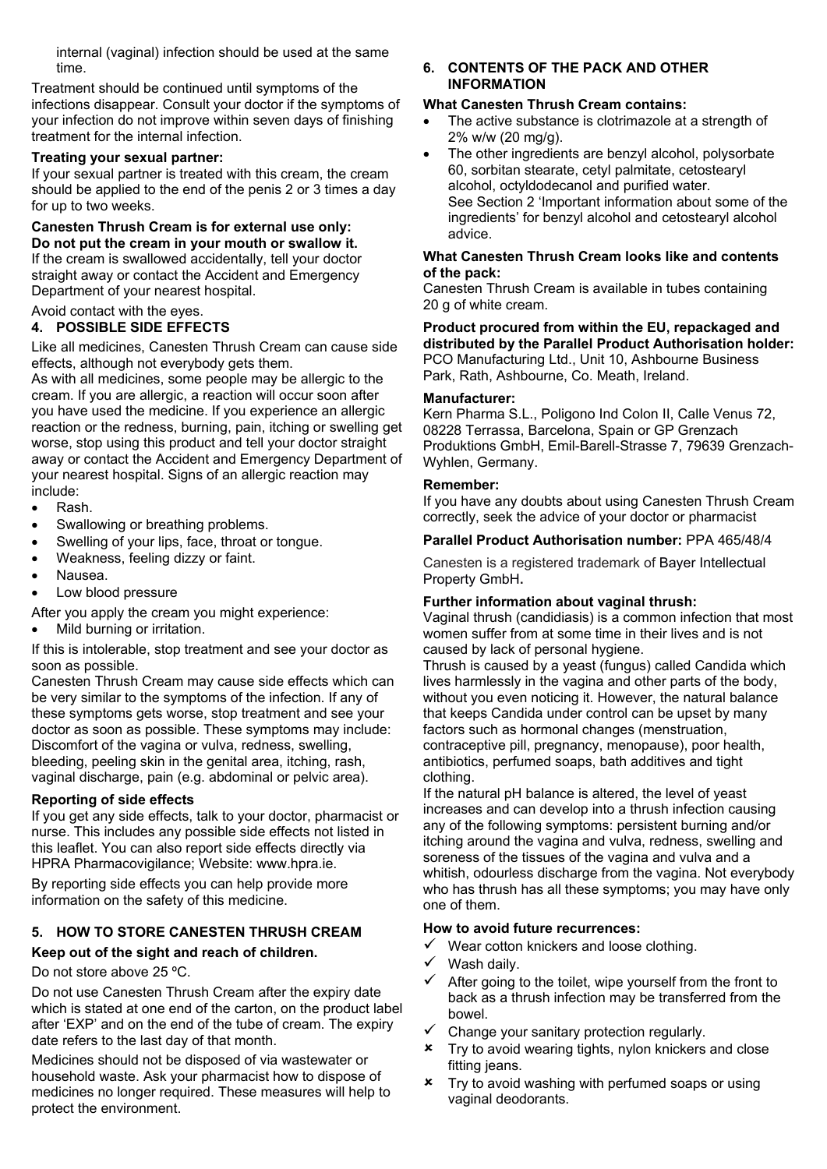internal (vaginal) infection should be used at the same time.

Treatment should be continued until symptoms of the infections disappear. Consult your doctor if the symptoms of your infection do not improve within seven days of finishing treatment for the internal infection.

## **Treating your sexual partner:**

If your sexual partner is treated with this cream, the cream should be applied to the end of the penis 2 or 3 times a day for up to two weeks.

#### **Canesten Thrush Cream is for external use only: Do not put the cream in your mouth or swallow it.**  If the cream is swallowed accidentally, tell your doctor

straight away or contact the Accident and Emergency Department of your nearest hospital.

## Avoid contact with the eyes.

## **4. POSSIBLE SIDE EFFECTS**

Like all medicines, Canesten Thrush Cream can cause side effects, although not everybody gets them.

As with all medicines, some people may be allergic to the cream. If you are allergic, a reaction will occur soon after you have used the medicine. If you experience an allergic reaction or the redness, burning, pain, itching or swelling get worse, stop using this product and tell your doctor straight away or contact the Accident and Emergency Department of your nearest hospital. Signs of an allergic reaction may include:

- Rash.
- Swallowing or breathing problems.
- Swelling of your lips, face, throat or tongue.
- Weakness, feeling dizzy or faint.
- Nausea.
- Low blood pressure

After you apply the cream you might experience:

Mild burning or irritation.

If this is intolerable, stop treatment and see your doctor as soon as possible.

Canesten Thrush Cream may cause side effects which can be very similar to the symptoms of the infection. If any of these symptoms gets worse, stop treatment and see your doctor as soon as possible. These symptoms may include: Discomfort of the vagina or vulva, redness, swelling, bleeding, peeling skin in the genital area, itching, rash, vaginal discharge, pain (e.g. abdominal or pelvic area).

## **Reporting of side effects**

If you get any side effects, talk to your doctor, pharmacist or nurse. This includes any possible side effects not listed in this leaflet. You can also report side effects directly via HPRA Pharmacovigilance; Website: www.hpra.ie.

By reporting side effects you can help provide more information on the safety of this medicine.

## **5. HOW TO STORE CANESTEN THRUSH CREAM**

## **Keep out of the sight and reach of children.**

## Do not store above 25 ºC.

Do not use Canesten Thrush Cream after the expiry date which is stated at one end of the carton, on the product label after 'EXP' and on the end of the tube of cream. The expiry date refers to the last day of that month.

Medicines should not be disposed of via wastewater or household waste. Ask your pharmacist how to dispose of medicines no longer required. These measures will help to protect the environment.

## **6. CONTENTS OF THE PACK AND OTHER INFORMATION**

## **What Canesten Thrush Cream contains:**

- The active substance is clotrimazole at a strength of 2% w/w (20 mg/g).
- The other ingredients are benzyl alcohol, polysorbate 60, sorbitan stearate, cetyl palmitate, cetostearyl alcohol, octyldodecanol and purified water. See Section 2 'Important information about some of the ingredients' for benzyl alcohol and cetostearyl alcohol advice.

## **What Canesten Thrush Cream looks like and contents of the pack:**

Canesten Thrush Cream is available in tubes containing 20 g of white cream.

**Product procured from within the EU, repackaged and distributed by the Parallel Product Authorisation holder:**  PCO Manufacturing Ltd., Unit 10, Ashbourne Business Park, Rath, Ashbourne, Co. Meath, Ireland.

## **Manufacturer:**

Kern Pharma S.L., Poligono Ind Colon II, Calle Venus 72, 08228 Terrassa, Barcelona, Spain or GP Grenzach Produktions GmbH, Emil-Barell-Strasse 7, 79639 Grenzach-Wyhlen, Germany.

## **Remember:**

If you have any doubts about using Canesten Thrush Cream correctly, seek the advice of your doctor or pharmacist

## **Parallel Product Authorisation number:** PPA 465/48/4

Canesten is a registered trademark of Bayer Intellectual Property GmbH**.**

## **Further information about vaginal thrush:**

Vaginal thrush (candidiasis) is a common infection that most women suffer from at some time in their lives and is not caused by lack of personal hygiene.

Thrush is caused by a yeast (fungus) called Candida which lives harmlessly in the vagina and other parts of the body, without you even noticing it. However, the natural balance that keeps Candida under control can be upset by many factors such as hormonal changes (menstruation, contraceptive pill, pregnancy, menopause), poor health, antibiotics, perfumed soaps, bath additives and tight clothing.

If the natural pH balance is altered, the level of yeast increases and can develop into a thrush infection causing any of the following symptoms: persistent burning and/or itching around the vagina and vulva, redness, swelling and soreness of the tissues of the vagina and vulva and a whitish, odourless discharge from the vagina. Not everybody who has thrush has all these symptoms; you may have only one of them.

## **How to avoid future recurrences:**

- $\checkmark$  Wear cotton knickers and loose clothing.
- $\checkmark$  Wash daily.
- After going to the toilet, wipe yourself from the front to back as a thrush infection may be transferred from the bowel.
- Change your sanitary protection regularly.
- **x** Try to avoid wearing tights, nylon knickers and close fitting jeans.
- Try to avoid washing with perfumed soaps or using vaginal deodorants.